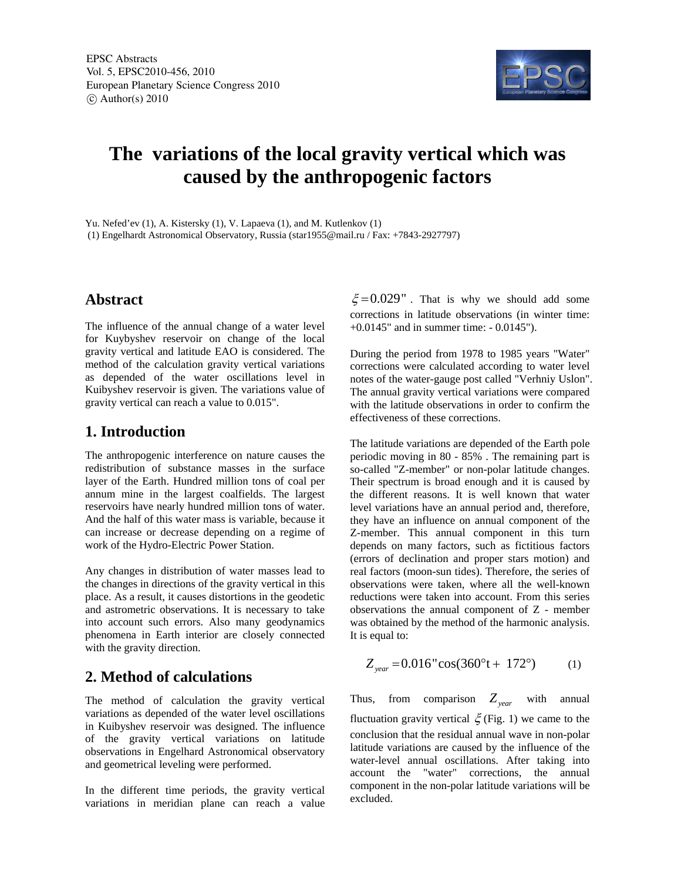

# **The variations of the local gravity vertical which was caused by the anthropogenic factors**

Yu. Nefed'ev (1), A. Kistersky (1), V. Lapaeva (1), and M. Kutlenkov (1) (1) Engelhardt Astronomical Observatory, Russia (star1955@mail.ru / Fax: +7843-2927797)

### **Abstract**

The influence of the annual change of a water level for Kuybyshev reservoir on change of the local gravity vertical and latitude EAO is considered. The method of the calculation gravity vertical variations as depended of the water oscillations level in Kuibyshev reservoir is given. The variations value of gravity vertical can reach a value to 0.015".

## **1. Introduction**

The anthropogenic interference on nature causes the redistribution of substance masses in the surface layer of the Earth. Hundred million tons of coal per annum mine in the largest coalfields. The largest reservoirs have nearly hundred million tons of water. And the half of this water mass is variable, because it can increase or decrease depending on a regime of work of the Hydro-Electric Power Station.

Any changes in distribution of water masses lead to the changes in directions of the gravity vertical in this place. As a result, it causes distortions in the geodetic and astrometric observations. It is necessary to take into account such errors. Also many geodynamics phenomena in Earth interior are closely connected with the gravity direction.

# **2. Method of calculations**

The method of calculation the gravity vertical variations as depended of the water level oscillations in Kuibyshev reservoir was designed. The influence of the gravity vertical variations on latitude observations in Engelhard Astronomical observatory and geometrical leveling were performed.

In the different time periods, the gravity vertical variations in meridian plane can reach a value

 $\xi = 0.029$ ". That is why we should add some corrections in latitude observations (in winter time: +0.0145" and in summer time: - 0.0145").

During the period from 1978 to 1985 years "Water" corrections were calculated according to water level notes of the water-gauge post called "Verhniy Uslon". The annual gravity vertical variations were compared with the latitude observations in order to confirm the effectiveness of these corrections.

The latitude variations are depended of the Earth pole periodic moving in 80 - 85% . The remaining part is so-called "Z-member" or non-polar latitude changes. Their spectrum is broad enough and it is caused by the different reasons. It is well known that water level variations have an annual period and, therefore, they have an influence on annual component of the Z-member. This annual component in this turn depends on many factors, such as fictitious factors (errors of declination and proper stars motion) and real factors (moon-sun tides). Therefore, the series of observations were taken, where all the well-known reductions were taken into account. From this series observations the annual component of Z - member was obtained by the method of the harmonic analysis. It is equal to:

$$
Z_{year} = 0.016" \cos(360°t + 172°)
$$
 (1)

Thus, from comparison  $Z_{year}$  with annual fluctuation gravity vertical  $\xi$  (Fig. 1) we came to the conclusion that the residual annual wave in non-polar latitude variations are caused by the influence of the water-level annual oscillations. After taking into account the "water" corrections, the annual component in the non-polar latitude variations will be excluded.